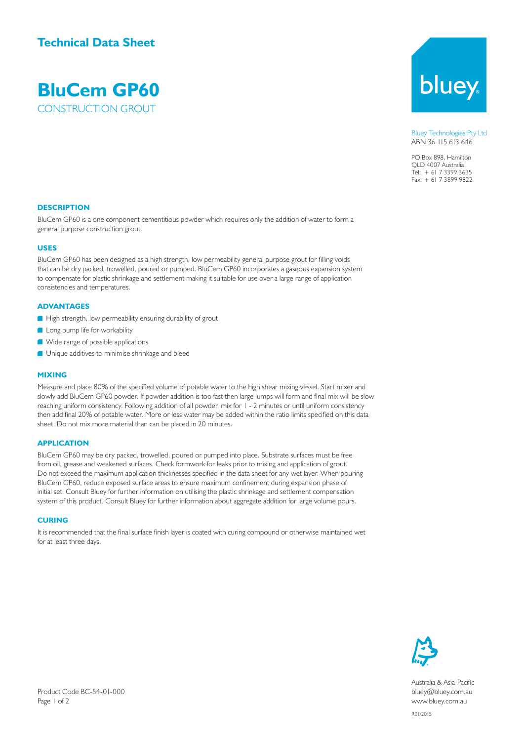### **Technical Data Sheet**

## **BluCem GP60** CONSTRUCTION GROUT

bluey

Bluey Technologies Pty Ltd ABN 36 115 613 646

PO Box 898, Hamilton QLD 4007 Australia Tel: + 61 7 3399 3635 Fax: + 61 7 3899 9822

#### **DESCRIPTION**

BluCem GP60 is a one component cementitious powder which requires only the addition of water to form a general purpose construction grout.

#### **USES**

BluCem GP60 has been designed as a high strength, low permeability general purpose grout for filling voids that can be dry packed, trowelled, poured or pumped. BluCem GP60 incorporates a gaseous expansion system to compensate for plastic shrinkage and settlement making it suitable for use over a large range of application consistencies and temperatures.

#### **ADVANTAGES**

- High strength, low permeability ensuring durability of grout
- **Long pump life for workability**
- Wide range of possible applications
- **Unique additives to minimise shrinkage and bleed**

#### **MIXING**

Measure and place 80% of the specified volume of potable water to the high shear mixing vessel. Start mixer and slowly add BluCem GP60 powder. If powder addition is too fast then large lumps will form and final mix will be slow reaching uniform consistency. Following addition of all powder, mix for 1 - 2 minutes or until uniform consistency then add final 20% of potable water. More or less water may be added within the ratio limits specified on this data sheet. Do not mix more material than can be placed in 20 minutes.

#### **APPLICATION**

BluCem GP60 may be dry packed, trowelled, poured or pumped into place. Substrate surfaces must be free from oil, grease and weakened surfaces. Check formwork for leaks prior to mixing and application of grout. Do not exceed the maximum application thicknesses specified in the data sheet for any wet layer. When pouring BluCem GP60, reduce exposed surface areas to ensure maximum confinement during expansion phase of initial set. Consult Bluey for further information on utilising the plastic shrinkage and settlement compensation system of this product. Consult Bluey for further information about aggregate addition for large volume pours.

#### **CURING**

It is recommended that the final surface finish layer is coated with curing compound or otherwise maintained wet for at least three days.



Australia & Asia-Pacific bluey@bluey.com.au www.bluey.com.au